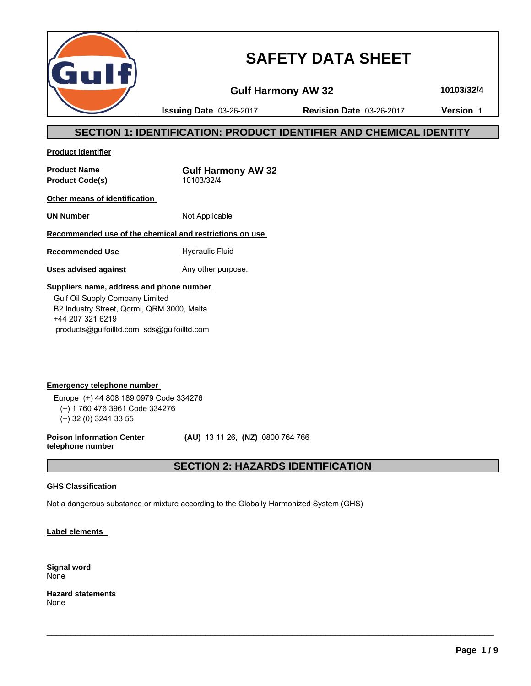

# **SAFETY DATA SHEET**

**Gulf Harmony AW 32 10103/32/4**

**Issuing Date** 03-26-2017 **Revision Date** 03-26-2017 **Version** 1

# **SECTION 1: IDENTIFICATION: PRODUCT IDENTIFIER AND CHEMICAL IDENTITY**

**Product identifier**

**Product Name**<br> **Product Code(s)**<br> **Product Code(s)**<br> **CODEC 10103/32/4 Product Code(s)** 

**Other means of identification** 

**UN Number** Not Applicable

**Recommended use of the chemical and restrictions on use** 

**Recommended Use** Hydraulic Fluid

**Uses advised against** Any other purpose.

# **Suppliers name, address and phone number**

 Gulf Oil Supply Company Limited B2 Industry Street, Qormi, QRM 3000, Malta +44 207 321 6219 products@gulfoilltd.com sds@gulfoilltd.com

**Emergency telephone number**  Europe (+) 44 808 189 0979 Code 334276 (+) 1 760 476 3961 Code 334276 (+) 32 (0) 3241 33 55

**Poison Information Center telephone number**

 **(AU)** 13 11 26, **(NZ)** 0800 764 766

# **SECTION 2: HAZARDS IDENTIFICATION**

 $\_$  ,  $\_$  ,  $\_$  ,  $\_$  ,  $\_$  ,  $\_$  ,  $\_$  ,  $\_$  ,  $\_$  ,  $\_$  ,  $\_$  ,  $\_$  ,  $\_$  ,  $\_$  ,  $\_$  ,  $\_$  ,  $\_$  ,  $\_$  ,  $\_$  ,  $\_$  ,  $\_$  ,  $\_$  ,  $\_$  ,  $\_$  ,  $\_$  ,  $\_$  ,  $\_$  ,  $\_$  ,  $\_$  ,  $\_$  ,  $\_$  ,  $\_$  ,  $\_$  ,  $\_$  ,  $\_$  ,  $\_$  ,  $\_$  ,

# **GHS Classification**

Not a dangerous substance or mixture according to the Globally Harmonized System (GHS)

**Label elements** 

**Signal word** None

**Hazard statements** None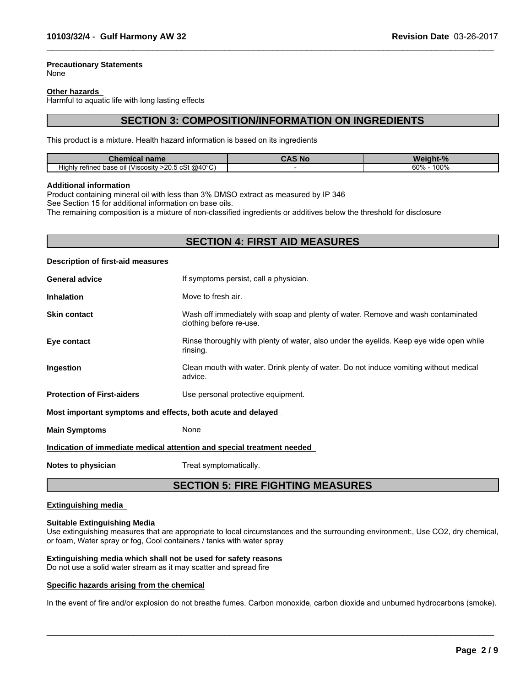# **Precautionary Statements**

None

#### **Other hazards**

Harmful to aquatic life with long lasting effects

# **SECTION 3: COMPOSITION/INFORMATION ON INGREDIENTS**

 $\_$  ,  $\_$  ,  $\_$  ,  $\_$  ,  $\_$  ,  $\_$  ,  $\_$  ,  $\_$  ,  $\_$  ,  $\_$  ,  $\_$  ,  $\_$  ,  $\_$  ,  $\_$  ,  $\_$  ,  $\_$  ,  $\_$  ,  $\_$  ,  $\_$  ,  $\_$  ,  $\_$  ,  $\_$  ,  $\_$  ,  $\_$  ,  $\_$  ,  $\_$  ,  $\_$  ,  $\_$  ,  $\_$  ,  $\_$  ,  $\_$  ,  $\_$  ,  $\_$  ,  $\_$  ,  $\_$  ,  $\_$  ,  $\_$  ,

This product is a mixture. Health hazard information is based on its ingredients

| . Nr<br>name<br>чнеат.                                             |  | $\mathbf{r}$ |  |
|--------------------------------------------------------------------|--|--------------|--|
| $>$ 20.5 cSt @40 °C)<br>refined base<br>. oil (Viscosity<br>Hiahlv |  | 100%<br>60%  |  |

#### **Additional information**

Product containing mineral oil with less than 3% DMSO extract as measured by IP 346

See Section 15 for additional information on base oils.

The remaining composition is a mixture of non-classified ingredients or additives below the threshold for disclosure

# **SECTION 4: FIRST AID MEASURES**

#### **Description of first-aid measures**

| <b>General advice</b>                                       | If symptoms persist, call a physician.                                                                      |
|-------------------------------------------------------------|-------------------------------------------------------------------------------------------------------------|
| <b>Inhalation</b>                                           | Move to fresh air.                                                                                          |
| <b>Skin contact</b>                                         | Wash off immediately with soap and plenty of water. Remove and wash contaminated<br>clothing before re-use. |
| Eye contact                                                 | Rinse thoroughly with plenty of water, also under the eyelids. Keep eye wide open while<br>rinsing.         |
| Ingestion                                                   | Clean mouth with water. Drink plenty of water. Do not induce vomiting without medical<br>advice.            |
| <b>Protection of First-aiders</b>                           | Use personal protective equipment.                                                                          |
| Most important symptoms and effects, both acute and delayed |                                                                                                             |
| <b>Main Symptoms</b>                                        | None                                                                                                        |
|                                                             | Indication of immediate medical attention and special treatment needed                                      |

**Notes to physician** Treat symptomatically.

# **SECTION 5: FIRE FIGHTING MEASURES**

#### **Extinguishing media**

#### **Suitable Extinguishing Media**

Use extinguishing measures that are appropriate to local circumstances and the surrounding environment:, Use CO2, dry chemical, or foam, Water spray or fog, Cool containers / tanks with water spray

# **Extinguishing media which shall not be used for safety reasons**

Do not use a solid water stream as it may scatter and spread fire

#### **Specific hazards arising from the chemical**

In the event of fire and/or explosion do not breathe fumes. Carbon monoxide, carbon dioxide and unburned hydrocarbons (smoke).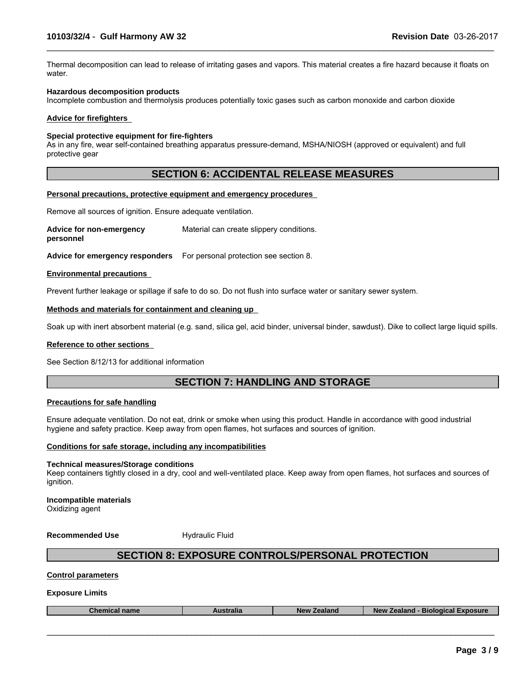Thermal decomposition can lead to release of irritating gases and vapors. This material creates a fire hazard because it floats on water.

 $\_$  ,  $\_$  ,  $\_$  ,  $\_$  ,  $\_$  ,  $\_$  ,  $\_$  ,  $\_$  ,  $\_$  ,  $\_$  ,  $\_$  ,  $\_$  ,  $\_$  ,  $\_$  ,  $\_$  ,  $\_$  ,  $\_$  ,  $\_$  ,  $\_$  ,  $\_$  ,  $\_$  ,  $\_$  ,  $\_$  ,  $\_$  ,  $\_$  ,  $\_$  ,  $\_$  ,  $\_$  ,  $\_$  ,  $\_$  ,  $\_$  ,  $\_$  ,  $\_$  ,  $\_$  ,  $\_$  ,  $\_$  ,  $\_$  ,

#### **Hazardous decomposition products**

Incomplete combustion and thermolysis produces potentially toxic gases such as carbon monoxide and carbon dioxide

#### **Advice for firefighters**

#### **Special protective equipment for fire-fighters**

As in any fire, wear self-contained breathing apparatus pressure-demand, MSHA/NIOSH (approved or equivalent) and full protective gear

# **SECTION 6: ACCIDENTAL RELEASE MEASURES**

#### **Personal precautions, protective equipment and emergency procedures**

Remove all sources of ignition. Ensure adequate ventilation.

**Advice for non-emergency personnel** Material can create slippery conditions.

**Advice for emergency responders** For personal protection see section 8.

#### **Environmental precautions**

Prevent further leakage or spillage if safe to do so. Do not flush into surface water or sanitary sewer system.

#### **Methods and materials for containment and cleaning up**

Soak up with inert absorbent material (e.g. sand, silica gel, acid binder, universal binder, sawdust). Dike to collect large liquid spills.

#### **Reference to other sections**

See Section 8/12/13 for additional information

# **SECTION 7: HANDLING AND STORAGE**

#### **Precautions for safe handling**

Ensure adequate ventilation. Do not eat, drink or smoke when using this product. Handle in accordance with good industrial hygiene and safety practice. Keep away from open flames, hot surfaces and sources of ignition.

#### **Conditions for safe storage, including any incompatibilities**

#### **Technical measures/Storage conditions**

Keep containers tightly closed in a dry, cool and well-ventilated place. Keep away from open flames, hot surfaces and sources of ignition.

**Incompatible materials** Oxidizing agent

**Recommended Use Hydraulic Fluid** 

# **SECTION 8: EXPOSURE CONTROLS/PERSONAL PROTECTION**

#### **Control parameters**

#### **Exposure Limits**

| <b>coosure</b><br>Biological<br>ralıa<br><b>NAV</b><br>,,,,,,,,<br>,,,,,<br>⊸ner<br>name<br>-adidi iv<br>эюнь. |
|----------------------------------------------------------------------------------------------------------------|
|----------------------------------------------------------------------------------------------------------------|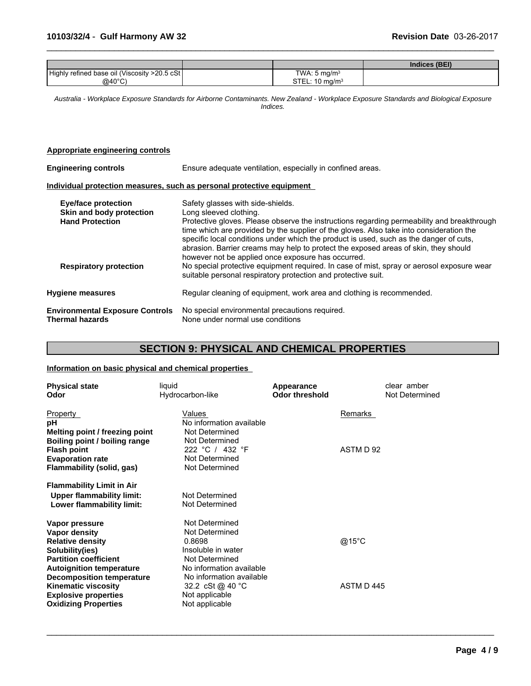|                                               |                            | Indices (BEI) |
|-----------------------------------------------|----------------------------|---------------|
| Highly refined base oil (Viscosity >20.5 cSt) | TWA: $5 \text{ mg/m}^3$    |               |
| $@40^{\circ}$ C)                              | STEL: 10 mg/m <sup>3</sup> |               |

 $\_$  ,  $\_$  ,  $\_$  ,  $\_$  ,  $\_$  ,  $\_$  ,  $\_$  ,  $\_$  ,  $\_$  ,  $\_$  ,  $\_$  ,  $\_$  ,  $\_$  ,  $\_$  ,  $\_$  ,  $\_$  ,  $\_$  ,  $\_$  ,  $\_$  ,  $\_$  ,  $\_$  ,  $\_$  ,  $\_$  ,  $\_$  ,  $\_$  ,  $\_$  ,  $\_$  ,  $\_$  ,  $\_$  ,  $\_$  ,  $\_$  ,  $\_$  ,  $\_$  ,  $\_$  ,  $\_$  ,  $\_$  ,  $\_$  ,

*Australia - Workplace Exposure Standards for Airborne Contaminants. New Zealand - Workplace Exposure Standards and Biological Exposure Indices.*

## **Appropriate engineering controls**

| <b>Engineering controls</b>                                                      | Ensure adequate ventilation, especially in confined areas.                                                                                                                                                                                                                                                                                                                                                                                                                                  |
|----------------------------------------------------------------------------------|---------------------------------------------------------------------------------------------------------------------------------------------------------------------------------------------------------------------------------------------------------------------------------------------------------------------------------------------------------------------------------------------------------------------------------------------------------------------------------------------|
|                                                                                  | Individual protection measures, such as personal protective equipment                                                                                                                                                                                                                                                                                                                                                                                                                       |
| <b>Eye/face protection</b><br>Skin and body protection<br><b>Hand Protection</b> | Safety glasses with side-shields.<br>Long sleeved clothing.<br>Protective gloves. Please observe the instructions regarding permeability and breakthrough<br>time which are provided by the supplier of the gloves. Also take into consideration the<br>specific local conditions under which the product is used, such as the danger of cuts,<br>abrasion. Barrier creams may help to protect the exposed areas of skin, they should<br>however not be applied once exposure has occurred. |
| <b>Respiratory protection</b>                                                    | No special protective equipment required. In case of mist, spray or aerosol exposure wear<br>suitable personal respiratory protection and protective suit.                                                                                                                                                                                                                                                                                                                                  |
| <b>Hygiene measures</b>                                                          | Regular cleaning of equipment, work area and clothing is recommended.                                                                                                                                                                                                                                                                                                                                                                                                                       |
| <b>Environmental Exposure Controls</b><br>Thermal hazards                        | No special environmental precautions required.<br>None under normal use conditions                                                                                                                                                                                                                                                                                                                                                                                                          |

# **SECTION 9: PHYSICAL AND CHEMICAL PROPERTIES**

 $\_$  ,  $\_$  ,  $\_$  ,  $\_$  ,  $\_$  ,  $\_$  ,  $\_$  ,  $\_$  ,  $\_$  ,  $\_$  ,  $\_$  ,  $\_$  ,  $\_$  ,  $\_$  ,  $\_$  ,  $\_$  ,  $\_$  ,  $\_$  ,  $\_$  ,  $\_$  ,  $\_$  ,  $\_$  ,  $\_$  ,  $\_$  ,  $\_$  ,  $\_$  ,  $\_$  ,  $\_$  ,  $\_$  ,  $\_$  ,  $\_$  ,  $\_$  ,  $\_$  ,  $\_$  ,  $\_$  ,  $\_$  ,  $\_$  ,

# **Information on basic physical and chemical properties**

| <b>Physical state</b><br>Odor                                                                                                                                                                                      | liquid<br>Hydrocarbon-like                                                                                                                                               | Appearance<br><b>Odor threshold</b> | clear amber<br>Not Determined |  |
|--------------------------------------------------------------------------------------------------------------------------------------------------------------------------------------------------------------------|--------------------------------------------------------------------------------------------------------------------------------------------------------------------------|-------------------------------------|-------------------------------|--|
| Property<br>рH<br>Melting point / freezing point                                                                                                                                                                   | Values<br>No information available<br>Not Determined                                                                                                                     |                                     | Remarks                       |  |
| Boiling point / boiling range<br><b>Flash point</b><br><b>Evaporation rate</b><br>Flammability (solid, gas)                                                                                                        | Not Determined<br>222 °C / 432 °F<br>Not Determined<br>Not Determined                                                                                                    |                                     | ASTM D 92                     |  |
| <b>Flammability Limit in Air</b><br><b>Upper flammability limit:</b><br>Lower flammability limit:                                                                                                                  | Not Determined<br>Not Determined                                                                                                                                         |                                     |                               |  |
| Vapor pressure<br>Vapor density<br><b>Relative density</b><br>Solubility(ies)<br><b>Partition coefficient</b><br><b>Autoignition temperature</b><br><b>Decomposition temperature</b><br><b>Kinematic viscosity</b> | Not Determined<br>Not Determined<br>0.8698<br>Insoluble in water<br>Not Determined<br>No information available<br>No information available<br>32.2 cSt @ 40 $^{\circ}$ C | @15°C                               | ASTM D445                     |  |
| <b>Explosive properties</b><br><b>Oxidizing Properties</b>                                                                                                                                                         | Not applicable<br>Not applicable                                                                                                                                         |                                     |                               |  |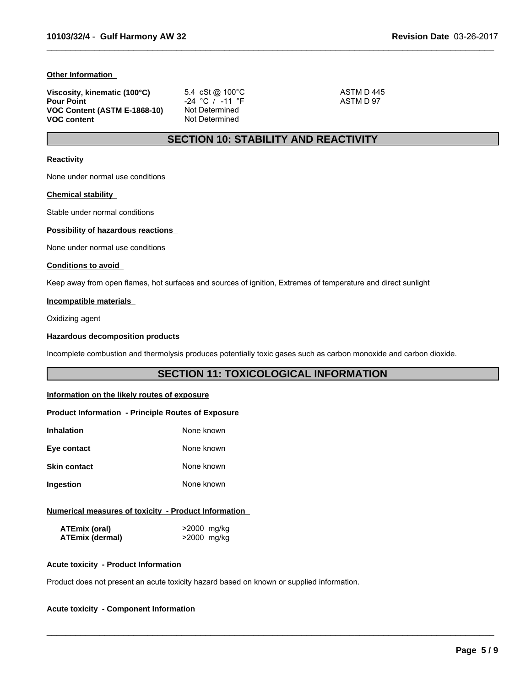### **Other Information**

| Viscosity, kinematic (100°C) | 5.4 cSt @ 100°C | ASTM D 445 |  |
|------------------------------|-----------------|------------|--|
| <b>Pour Point</b>            | -24 °C / -11 °F | ASTM D 97  |  |
| VOC Content (ASTM E-1868-10) | Not Determined  |            |  |
| <b>VOC content</b>           | Not Determined  |            |  |

 $\_$  ,  $\_$  ,  $\_$  ,  $\_$  ,  $\_$  ,  $\_$  ,  $\_$  ,  $\_$  ,  $\_$  ,  $\_$  ,  $\_$  ,  $\_$  ,  $\_$  ,  $\_$  ,  $\_$  ,  $\_$  ,  $\_$  ,  $\_$  ,  $\_$  ,  $\_$  ,  $\_$  ,  $\_$  ,  $\_$  ,  $\_$  ,  $\_$  ,  $\_$  ,  $\_$  ,  $\_$  ,  $\_$  ,  $\_$  ,  $\_$  ,  $\_$  ,  $\_$  ,  $\_$  ,  $\_$  ,  $\_$  ,  $\_$  ,

# **SECTION 10: STABILITY AND REACTIVITY**

### **Reactivity**

None under normal use conditions

#### **Chemical stability**

Stable under normal conditions

# **Possibility of hazardous reactions**

None under normal use conditions

#### **Conditions to avoid**

Keep away from open flames, hot surfaces and sources of ignition, Extremes of temperature and direct sunlight

# **Incompatible materials**

Oxidizing agent

### **Hazardous decomposition products**

Incomplete combustion and thermolysis produces potentially toxic gases such as carbon monoxide and carbon dioxide.

# **SECTION 11: TOXICOLOGICAL INFORMATION**

 $\_$  ,  $\_$  ,  $\_$  ,  $\_$  ,  $\_$  ,  $\_$  ,  $\_$  ,  $\_$  ,  $\_$  ,  $\_$  ,  $\_$  ,  $\_$  ,  $\_$  ,  $\_$  ,  $\_$  ,  $\_$  ,  $\_$  ,  $\_$  ,  $\_$  ,  $\_$  ,  $\_$  ,  $\_$  ,  $\_$  ,  $\_$  ,  $\_$  ,  $\_$  ,  $\_$  ,  $\_$  ,  $\_$  ,  $\_$  ,  $\_$  ,  $\_$  ,  $\_$  ,  $\_$  ,  $\_$  ,  $\_$  ,  $\_$  ,

# **Information on the likely routes of exposure**

#### **Product Information - Principle Routes of Exposure**

| Inhalation          | None known |
|---------------------|------------|
| Eye contact         | None known |
| <b>Skin contact</b> | None known |
| Ingestion           | None known |

### **Numerical measures of toxicity - Product Information**

| ATEmix (oral)          | >2000 mg/kg |
|------------------------|-------------|
| <b>ATEmix (dermal)</b> | >2000 mg/kg |

### **Acute toxicity - Product Information**

Product does not present an acute toxicity hazard based on known or supplied information.

# **Acute toxicity - Component Information**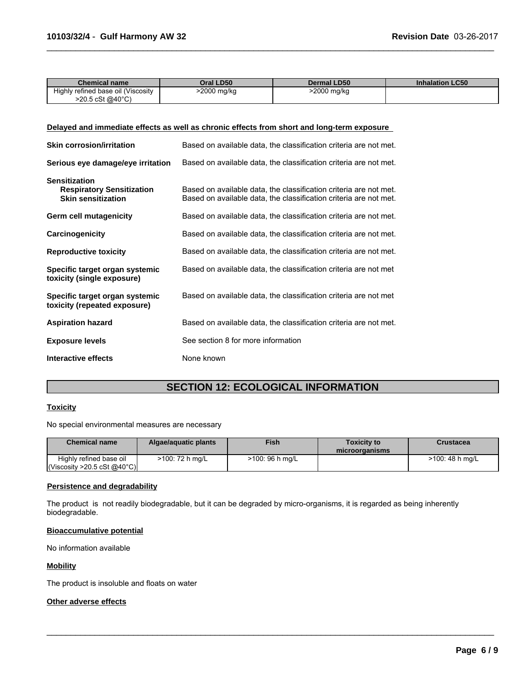| Chemical name                      | Oral LD50                  | <b>Dermal LD50</b> | <b>Inhalation LC50</b> |
|------------------------------------|----------------------------|--------------------|------------------------|
| Highly refined base oil (Viscosity | 2000 mg/kg <sup>&gt;</sup> | >2000 mg/kg        |                        |
| >20.5 cSt @40°C                    |                            |                    |                        |

 $\_$  ,  $\_$  ,  $\_$  ,  $\_$  ,  $\_$  ,  $\_$  ,  $\_$  ,  $\_$  ,  $\_$  ,  $\_$  ,  $\_$  ,  $\_$  ,  $\_$  ,  $\_$  ,  $\_$  ,  $\_$  ,  $\_$  ,  $\_$  ,  $\_$  ,  $\_$  ,  $\_$  ,  $\_$  ,  $\_$  ,  $\_$  ,  $\_$  ,  $\_$  ,  $\_$  ,  $\_$  ,  $\_$  ,  $\_$  ,  $\_$  ,  $\_$  ,  $\_$  ,  $\_$  ,  $\_$  ,  $\_$  ,  $\_$  ,

# **Delayed and immediate effects as well as chronic effects from short and long-term exposure**

| <b>Skin corrosion/irritation</b>                                                      | Based on available data, the classification criteria are not met.                                                                      |
|---------------------------------------------------------------------------------------|----------------------------------------------------------------------------------------------------------------------------------------|
| Serious eye damage/eye irritation                                                     | Based on available data, the classification criteria are not met.                                                                      |
| <b>Sensitization</b><br><b>Respiratory Sensitization</b><br><b>Skin sensitization</b> | Based on available data, the classification criteria are not met.<br>Based on available data, the classification criteria are not met. |
| Germ cell mutagenicity                                                                | Based on available data, the classification criteria are not met.                                                                      |
| Carcinogenicity                                                                       | Based on available data, the classification criteria are not met.                                                                      |
| <b>Reproductive toxicity</b>                                                          | Based on available data, the classification criteria are not met.                                                                      |
| Specific target organ systemic<br>toxicity (single exposure)                          | Based on available data, the classification criteria are not met                                                                       |
| Specific target organ systemic<br>toxicity (repeated exposure)                        | Based on available data, the classification criteria are not met                                                                       |
| <b>Aspiration hazard</b>                                                              | Based on available data, the classification criteria are not met.                                                                      |
| <b>Exposure levels</b>                                                                | See section 8 for more information                                                                                                     |
| Interactive effects                                                                   | None known                                                                                                                             |

# **SECTION 12: ECOLOGICAL INFORMATION**

### **Toxicity**

No special environmental measures are necessary

| <b>Chemical name</b>                                   | Algae/aguatic plants | <b>Fish</b>     | <b>Toxicity to</b><br>microorganisms | Crustacea       |
|--------------------------------------------------------|----------------------|-----------------|--------------------------------------|-----------------|
| Highly refined base oil<br> Viscosity > 20.5 cSt @40°C | >100: 72 h mg/L      | >100: 96 h mg/L |                                      | >100: 48 h mg/L |

 $\_$  ,  $\_$  ,  $\_$  ,  $\_$  ,  $\_$  ,  $\_$  ,  $\_$  ,  $\_$  ,  $\_$  ,  $\_$  ,  $\_$  ,  $\_$  ,  $\_$  ,  $\_$  ,  $\_$  ,  $\_$  ,  $\_$  ,  $\_$  ,  $\_$  ,  $\_$  ,  $\_$  ,  $\_$  ,  $\_$  ,  $\_$  ,  $\_$  ,  $\_$  ,  $\_$  ,  $\_$  ,  $\_$  ,  $\_$  ,  $\_$  ,  $\_$  ,  $\_$  ,  $\_$  ,  $\_$  ,  $\_$  ,  $\_$  ,

### **Persistence and degradability**

The product is not readily biodegradable, but it can be degraded by micro-organisms, it is regarded as being inherently biodegradable.

# **Bioaccumulative potential**

No information available

# **Mobility**

The product is insoluble and floats on water

### **Other adverse effects**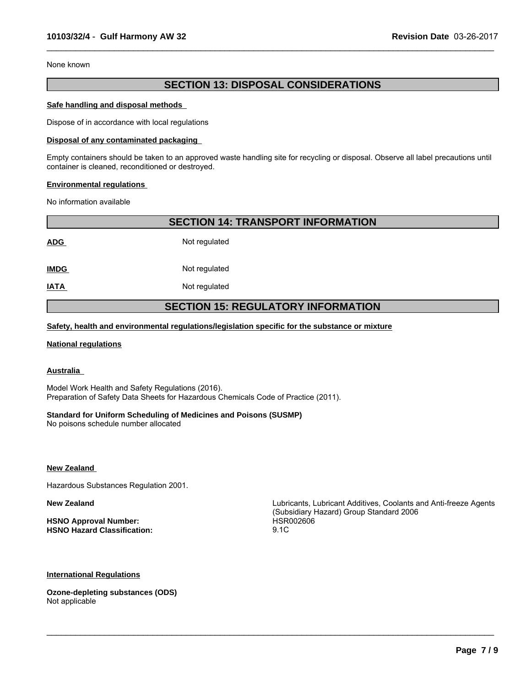None known

# **SECTION 13: DISPOSAL CONSIDERATIONS**

 $\_$  ,  $\_$  ,  $\_$  ,  $\_$  ,  $\_$  ,  $\_$  ,  $\_$  ,  $\_$  ,  $\_$  ,  $\_$  ,  $\_$  ,  $\_$  ,  $\_$  ,  $\_$  ,  $\_$  ,  $\_$  ,  $\_$  ,  $\_$  ,  $\_$  ,  $\_$  ,  $\_$  ,  $\_$  ,  $\_$  ,  $\_$  ,  $\_$  ,  $\_$  ,  $\_$  ,  $\_$  ,  $\_$  ,  $\_$  ,  $\_$  ,  $\_$  ,  $\_$  ,  $\_$  ,  $\_$  ,  $\_$  ,  $\_$  ,

#### **Safe handling and disposal methods**

Dispose of in accordance with local regulations

#### **Disposal of any contaminated packaging**

Empty containers should be taken to an approved waste handling site for recycling or disposal. Observe all label precautions until container is cleaned, reconditioned or destroyed.

#### **Environmental regulations**

No information available

**SECTION 14: TRANSPORT INFORMATION**

**ADG** Not regulated

**IMDG** Not regulated

**IATA** Not regulated

# **SECTION 15: REGULATORY INFORMATION**

### **Safety, health and environmental regulations/legislation specific for the substance or mixture**

#### **National regulations**

# **Australia**

Model Work Health and Safety Regulations (2016). Preparation of Safety Data Sheets for Hazardous Chemicals Code of Practice (2011).

### **Standard for Uniform Scheduling of Medicines and Poisons (SUSMP)**

No poisons schedule number allocated

**New Zealand** 

Hazardous Substances Regulation 2001.

**HSNO Approval Number:** HSR002606 **HSNO Hazard Classification:** 9.1C

**New Zealand** Lubricants, Lubricant Additives, Coolants and Anti-freeze Agents (Subsidiary Hazard) Group Standard 2006

 $\_$  ,  $\_$  ,  $\_$  ,  $\_$  ,  $\_$  ,  $\_$  ,  $\_$  ,  $\_$  ,  $\_$  ,  $\_$  ,  $\_$  ,  $\_$  ,  $\_$  ,  $\_$  ,  $\_$  ,  $\_$  ,  $\_$  ,  $\_$  ,  $\_$  ,  $\_$  ,  $\_$  ,  $\_$  ,  $\_$  ,  $\_$  ,  $\_$  ,  $\_$  ,  $\_$  ,  $\_$  ,  $\_$  ,  $\_$  ,  $\_$  ,  $\_$  ,  $\_$  ,  $\_$  ,  $\_$  ,  $\_$  ,  $\_$  ,

# **International Regulations**

**Ozone-depleting substances (ODS)** Not applicable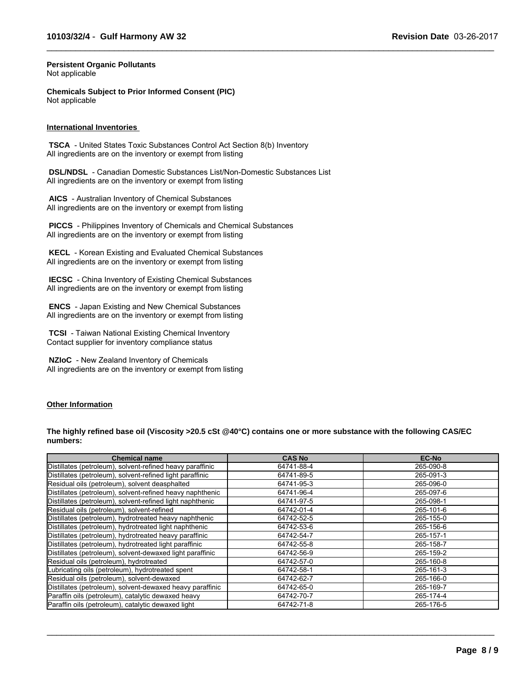$\_$  ,  $\_$  ,  $\_$  ,  $\_$  ,  $\_$  ,  $\_$  ,  $\_$  ,  $\_$  ,  $\_$  ,  $\_$  ,  $\_$  ,  $\_$  ,  $\_$  ,  $\_$  ,  $\_$  ,  $\_$  ,  $\_$  ,  $\_$  ,  $\_$  ,  $\_$  ,  $\_$  ,  $\_$  ,  $\_$  ,  $\_$  ,  $\_$  ,  $\_$  ,  $\_$  ,  $\_$  ,  $\_$  ,  $\_$  ,  $\_$  ,  $\_$  ,  $\_$  ,  $\_$  ,  $\_$  ,  $\_$  ,  $\_$  ,

#### **Persistent Organic Pollutants** Not applicable

**Chemicals Subject to Prior Informed Consent (PIC)** Not applicable

#### **International Inventories**

 **TSCA** - United States Toxic Substances Control Act Section 8(b) Inventory All ingredients are on the inventory or exempt from listing

 **DSL/NDSL** - Canadian Domestic Substances List/Non-Domestic Substances List All ingredients are on the inventory or exempt from listing

 **AICS** - Australian Inventory of Chemical Substances All ingredients are on the inventory or exempt from listing

 **PICCS** - Philippines Inventory of Chemicals and Chemical Substances All ingredients are on the inventory or exempt from listing

 **KECL** - Korean Existing and Evaluated Chemical Substances All ingredients are on the inventory or exempt from listing

 **IECSC** - China Inventory of Existing Chemical Substances All ingredients are on the inventory or exempt from listing

 **ENCS** - Japan Existing and New Chemical Substances All ingredients are on the inventory or exempt from listing

 **TCSI** - Taiwan National Existing Chemical Inventory Contact supplier for inventory compliance status

 **NZIoC** - New Zealand Inventory of Chemicals All ingredients are on the inventory or exempt from listing

### **Other Information**

**The highly refined base oil (Viscosity >20.5 cSt @40°C) contains one or more substance with the following CAS/EC numbers:**

| <b>Chemical name</b>                                      | <b>CAS No</b> | <b>EC-No</b> |
|-----------------------------------------------------------|---------------|--------------|
| Distillates (petroleum), solvent-refined heavy paraffinic | 64741-88-4    | 265-090-8    |
| Distillates (petroleum), solvent-refined light paraffinic | 64741-89-5    | 265-091-3    |
| Residual oils (petroleum), solvent deasphalted            | 64741-95-3    | 265-096-0    |
| Distillates (petroleum), solvent-refined heavy naphthenic | 64741-96-4    | 265-097-6    |
| Distillates (petroleum), solvent-refined light naphthenic | 64741-97-5    | 265-098-1    |
| Residual oils (petroleum), solvent-refined                | 64742-01-4    | 265-101-6    |
| Distillates (petroleum), hydrotreated heavy naphthenic    | 64742-52-5    | 265-155-0    |
| Distillates (petroleum), hydrotreated light naphthenic    | 64742-53-6    | 265-156-6    |
| Distillates (petroleum), hydrotreated heavy paraffinic    | 64742-54-7    | 265-157-1    |
| Distillates (petroleum), hydrotreated light paraffinic    | 64742-55-8    | 265-158-7    |
| Distillates (petroleum), solvent-dewaxed light paraffinic | 64742-56-9    | 265-159-2    |
| Residual oils (petroleum), hydrotreated                   | 64742-57-0    | 265-160-8    |
| Lubricating oils (petroleum), hydrotreated spent          | 64742-58-1    | 265-161-3    |
| Residual oils (petroleum), solvent-dewaxed                | 64742-62-7    | 265-166-0    |
| Distillates (petroleum), solvent-dewaxed heavy paraffinic | 64742-65-0    | 265-169-7    |
| Paraffin oils (petroleum), catalytic dewaxed heavy        | 64742-70-7    | 265-174-4    |
| Paraffin oils (petroleum), catalytic dewaxed light        | 64742-71-8    | 265-176-5    |